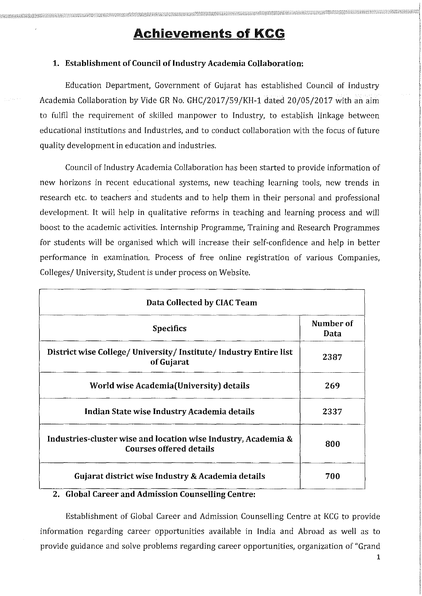# **Achievements of KCG**

#### 1. Establishment of Council of Industry Academia Collaboration:

Education Department, Government of Gujarat has established Council of Industry Academia Collaboration by Vide GR No. GHC/2017/59/KH-1 dated 20/05/2017 with an aim to fulfil the requirement of skilled manpower to Industry, to establish linkage between educational institutions and Industries, and to conduct collaboration with the focus of future quality development in education and industries.

Council of Industry Academia Collaboration has been started to provide information of new horizons in recent educational systems, new teaching learning tools, new trends in research etc. to teachers and students and to help them in their personal and professional development. It will help in qualitative reforms in teaching and learning process and will boost to the academic activities. Internship Programme, Training and Research Programmes for students will be organised which will increase their self-confidence and help in better performance in examination. Process of free online registration of various Companies, Colleges/ University, Student is under process on Website.

| Data Collected by CIAC Team                                                                      |                   |  |  |
|--------------------------------------------------------------------------------------------------|-------------------|--|--|
| <b>Specifics</b>                                                                                 | Number of<br>Data |  |  |
| District wise College/University/Institute/Industry Entire list<br>of Gujarat                    | 2387              |  |  |
| World wise Academia (University) details                                                         | 269               |  |  |
| Indian State wise Industry Academia details                                                      | 2337              |  |  |
| Industries-cluster wise and location wise Industry, Academia &<br><b>Courses offered details</b> | 800               |  |  |
| Gujarat district wise Industry & Academia details                                                | 700               |  |  |

#### **2. Global Career and Admission Counselling Centre:**

Establishment of Global Career and Admission Counselling Centre at KCG to provide information regarding career opportunities available in India and Abroad as well as to provide guidance and solve problems regarding career opportunities, organization of "Grand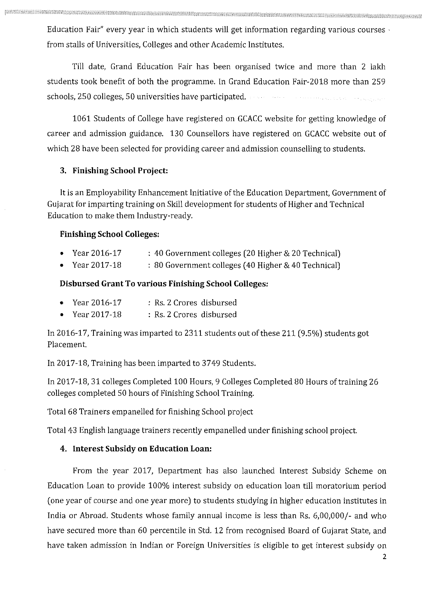Education Fair" every year in which students will get information regarding various courses  $\cdot$ from stalls of Universities, Colleges and other Academic Institutes,

Till date, Grand Education Fair has been organised twice and more than 2 lakh students took benefit of both the programme. In Grand Education Fair-2018 more than 259 schools, 250 colleges, 50 universities have participated.

1061 Students of College have registered on GCACC website for getting knowledge of career and admission guidance, 130 Counsellors have registered on GCACC website out of which 28 have been selected for providing career and admission counselling to students.

## **3. Finishing School Project:**

It is an Employability Enhancement Initiative of the Education Department, Government of Gujarat for imparting training on Skill development for students of Higher and Technical Education to make them Industry-ready.

## **Finishing School Colleges:**

- Year2016-17 : 40 Government colleges (20 Higher & 20 Technical)
- Year 2017-18 : 80 Government colleges ( 40 Higher & 40 Technical)

## **Disbursed Grant To various Finishing School Colleges:**

| • Year $2016-17$ | : Rs. 2 Crores disbursed |  |
|------------------|--------------------------|--|
| • Year $2017-18$ | : Rs. 2 Crores disbursed |  |

In 2016-17, Training was imparted to 2311 students out of these 211 (9.5%) students got Placement.

In 2017-18, Training has been imparted to 3749 Students.

In 2017-18, 31 colleges Completed 100 Hours, 9 Colleges Completed 80 Hours of training 26 colleges completed 50 hours of Finishing School Training.

Total 68 Trainers empanelled for finishing School project

Total 43 English language trainers recently empanelled under finishing school project.

## **4. Interest Subsidy on Education Loan:**

From the year 2017, Department has also launched Interest Subsidy Scheme on Education Loan to provide 100% interest subsidy on education loan till moratorium period ( one year of course and one year more) to students studying in higher education institutes in India or Abroad. Students whose family annual income is less than Rs. 6,00,000/- and who have secured more than 60 percentile in Std. 12 from recognised Board of Gujarat State, and have taken admission in Indian or Foreign Universities is eligible to get interest subsidy on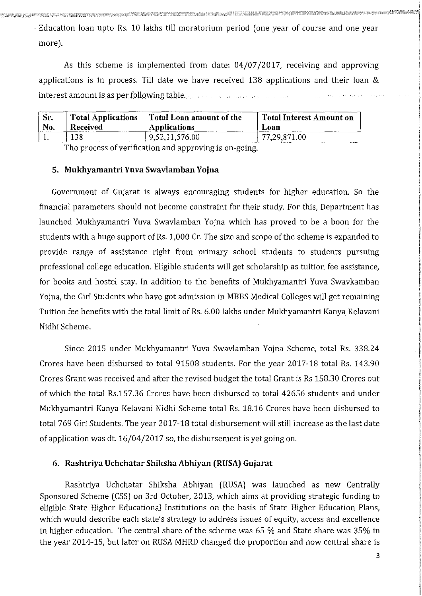· Education loan upto Rs. 10 lakhs till moratorium period ( one year of course and one year more).

As this scheme is implemented from date: 04/07/2017, receiving and approving applications is in process. Till date we have received 138 applications and their loan & interest amount is as per following table.

| Sr. | <b>Total Applications</b> | Total Loan amount of the | Total Interest Amount on |
|-----|---------------------------|--------------------------|--------------------------|
| No. | <b>Received</b>           | <b>Applications</b>      | Loan                     |
|     | 138                       | 9,52,11,576.00           | 77,29,871.00             |

The process of verification and approving is on-going.

#### **5. Mukhyamantri Yuva Swavlamban Yojna**

Government of Gujarat is always encouraging students for higher education. So the financial parameters should not become constraint for their study. For this, Department has launched Mukhyamantri Yuva Swavlamban Yojna which has proved to be a boon for the students with a huge support of Rs. 1,000 Cr. The size and scope of the scheme is expanded to provide range of assistance right from primary school students to students pursuing professional college education. Eligible students will get scholarship as tuition fee assistance, for books and hostel stay. In addition to the benefits of Mukhyamantri Yuva Swavkamban Yojna, the Girl Students who have got admission in MBBS Medical Colleges will get remaining Tuition fee benefits with the total limit of Rs. 6.00 lakhs under Mukhyamantri Kanya Kelavani Nidhi Scheme.

Since 2015 under Mukhyamantri Yuva Swavlamban Yojna Scheme, total Rs. 338.24 Crores have been disbursed to total 91508 students. For the year 2017-18 total Rs. 143.90 Crores Grant was received and after the revised budget the total Grant is Rs 158.30 Crores out of which the total Rs.157.36 Crores have been disbursed to total 42656 students and under Mukhyamantri Kanya Kelavani Nidhi Scheme total Rs. 18.16 Crores have been disbursed to total 769 Girl Students. The year 2017-18 total disbursement will still increase as the last date of application was dt. 16/04/2017 so, the disbursement is yet going on.

#### **6. Rashtriya Uchchatar Shiksha Abhiyan (RUSA) Gujarat**

Rashtriya Uchchatar Shiksha Abhiyan (RUSA) was launched as new Centrally Sponsored Scheme (CSS) on 3rd October, 2013, which aims at providing strategic funding to eligible State Higher Educational Institutions on the basis of State Higher Education Plans, which would describe each state's strategy to address issues of equity, access and excellence in higher education. The central share of the scheme was 65 % and State share was 35% in the year 2014-15, but later on RUSA MHRD changed the proportion and now central share is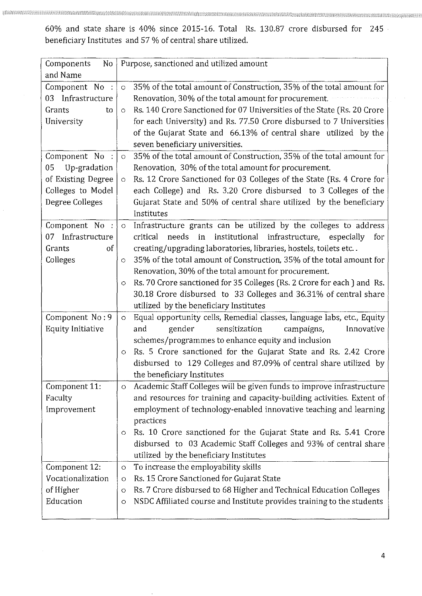60% and state share is 40% since 2015-16. Total Rs. 130.87 crore disbursed for 245 · beneficiary Institutes and 57 % of central share utilized.

| Components<br>No                    | Purpose, sanctioned and utilized amount                                            |
|-------------------------------------|------------------------------------------------------------------------------------|
| and Name                            |                                                                                    |
| Component No :<br>03 Infrastructure | 35% of the total amount of Construction, 35% of the total amount for<br>$\circ$    |
|                                     | Renovation, 30% of the total amount for procurement.                               |
| Grants<br>to                        | Rs. 140 Crore Sanctioned for 07 Universities of the State (Rs. 20 Crore<br>$\circ$ |
| University                          | for each University) and Rs. 77.50 Crore disbursed to 7 Universities               |
|                                     | of the Gujarat State and 66.13% of central share utilized by the                   |
|                                     | seven beneficiary universities.                                                    |
| Component No :                      | 35% of the total amount of Construction, 35% of the total amount for<br>$\circ$    |
| 05 Up-gradation                     | Renovation, 30% of the total amount for procurement.                               |
| of Existing Degree                  | Rs. 12 Crore Sanctioned for 03 Colleges of the State (Rs. 4 Crore for<br>$\circ$   |
| Colleges to Model                   | each College) and Rs. 3.20 Crore disbursed to 3 Colleges of the                    |
| Degree Colleges                     | Gujarat State and 50% of central share utilized by the beneficiary<br>Institutes   |
| Component No :                      | Infrastructure grants can be utilized by the colleges to address<br>$\bullet$      |
| 07 Infrastructure                   | needs<br>critical<br>in institutional infrastructure, especially<br>for            |
| of<br>Grants                        | creating/upgrading laboratories, libraries, hostels, toilets etc                   |
| Colleges                            | 35% of the total amount of Construction, 35% of the total amount for<br>$\circ$    |
|                                     | Renovation, 30% of the total amount for procurement.                               |
|                                     | Rs. 70 Crore sanctioned for 35 Colleges (Rs. 2 Crore for each) and Rs.<br>$\circ$  |
|                                     | 30.18 Crore disbursed to 33 Colleges and 36.31% of central share                   |
|                                     | utilized by the beneficiary Institutes                                             |
| Component No: 9                     | Equal opportunity cells, Remedial classes, language labs, etc., Equity<br>$\circ$  |
| <b>Equity Initiative</b>            | gender<br>sensitization<br>and<br>campaigns,<br>Innovative                         |
|                                     | schemes/programmes to enhance equity and inclusion                                 |
|                                     | Rs. 5 Crore sanctioned for the Gujarat State and Rs. 2.42 Crore<br>$\circ$         |
|                                     | disbursed to 129 Colleges and 87.09% of central share utilized by                  |
|                                     | the beneficiary Institutes                                                         |
| Component 11:                       | Academic Staff Colleges will be given funds to improve infrastructure<br>$\circ$   |
| Faculty                             | and resources for training and capacity-building activities. Extent of             |
| Improvement                         | employment of technology-enabled innovative teaching and learning                  |
|                                     | practices                                                                          |
|                                     | Rs. 10 Crore sanctioned for the Gujarat State and Rs. 5.41 Crore<br>O              |
|                                     | disbursed to 03 Academic Staff Colleges and 93% of central share                   |
|                                     | utilized by the beneficiary Institutes                                             |
| Component 12:                       | To increase the employability skills<br>$\circ$                                    |
| Vocationalization                   | Rs. 15 Crore Sanctioned for Gujarat State<br>O                                     |
| of Higher                           | Rs. 7 Crore disbursed to 68 Higher and Technical Education Colleges<br>$\circ$     |
| Education                           | NSDC Affiliated course and Institute provides training to the students<br>O        |
|                                     |                                                                                    |

 $\hat{\phantom{a}}$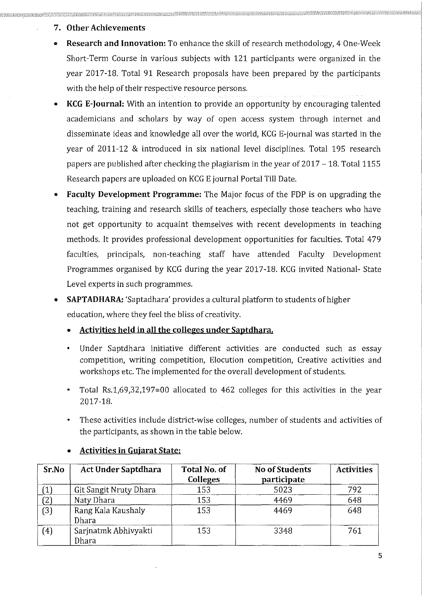## 7. **Other Achievements**

- **Research and Innovation:** To enhance the skill of research methodology, 4 One-Week Short-Term Course in various subjects with 121 participants were organized in the year 2017-18. Total 91 Research proposals have been prepared by the participants with the help of their respective resource persons.
- **KCG E-Journal:** With an intention to provide an opportunity by encouraging talented academicians and scholars by way of open access system through internet and disseminate ideas and knowledge all over the world, KCG E-journal was started in the year of 2011-12 & introduced in six national level disciplines. Total 195 research papers are published after checking the plagiarism in the year of 2017 - 18. Total 1155 Research papers are uploaded on KCG E journal Portal Till Date.
- **Faculty Development Programme:** The Major focus of the FDP is on upgrading the teaching, training and research skills of teachers, especially those teachers who have not get opportunity to acquaint themselves with recent developments in teaching methods. It provides professional development opportunities for faculties. Total 479 faculties, principals, non-teaching staff have attended Faculty Development Programmes organised by KCG during the year 2017-18. KCG invited National- State Level experts in such programmes.
- **SAPTADHARA:** 'Saptadhara' provides a cultural platform to students of higher education, where they feel the bliss of creativity.
	- Activities held in all the colleges under Saptdhara.
	- Under Saptdhara initiative different activities are conducted such as essay competition, writing competition, Elocution competition, Creative activities and workshops etc. The implemented for the overall development of students.
	- Total Rs.1,69,32,197=00 allocated to 462 colleges for this activities in the year 2017-18.
	- These activities include district-wise colleges, number of students and activities of the participants, as shown in the table below.

| Sr No | <b>Act Under Saptdhara</b>    | Total No. of<br><b>Colleges</b> | <b>No of Students</b><br>participate | <b>Activities</b> |
|-------|-------------------------------|---------------------------------|--------------------------------------|-------------------|
|       | Git Sangit Nruty Dhara        | 153                             | 5023                                 | 792               |
| (2)   | Naty Dhara                    | 153                             | 4469                                 | 648               |
| (3)   | Rang Kala Kaushaly<br>Dhara   | 153                             | 4469                                 | 648               |
| (4)   | Sarjnatmk Abhivyakti<br>Dhara | 153                             | 3348                                 | 761               |

## • **Activities in Gujarat State:**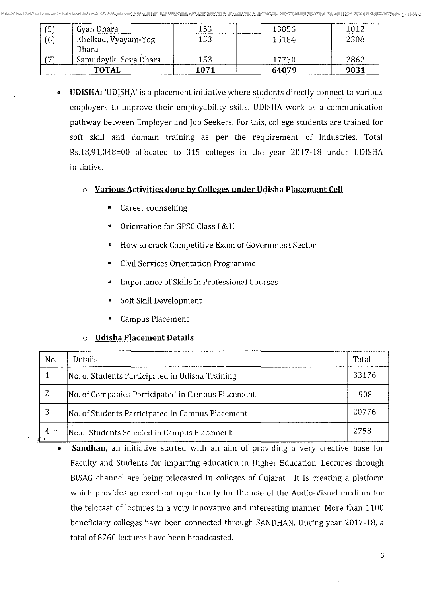|                | Gyan Dhara                   | 153  | -13856 | 1012 |
|----------------|------------------------------|------|--------|------|
| $\overline{6}$ | Khelkud, Vyayam-Yog<br>Dhara | 153  | 15184  | 2308 |
|                | Samudayik -Seva Dhara        | 153  | 17730  | 2862 |
|                | <b>TOTAL</b>                 | 1071 | 64079  | 9031 |

- **UDISHA:** 'UDISHA' is a placement initiative where students directly connect to various employers to improve their employability skills. UDISHA work as a communication pathway between Employer and Job Seekers. For this, college students are trained for soft skill and domain training as per the requirement of Industries. Total Rs.18,91,048=00 allocated to 315 colleges in the year 2017-18 under UDISHA initiative.
	- o **Various Activities done by Colleges under Udisha Placement Cell** 
		- Career counselling
		- **Orientation for GPSC Class I & II**
		- How to crack Competitive Exam of Government Sector
		- Civil Services Orientation Programme
		- Importance of Skills in Professional Courses
		- Soft Skill Development
		- Campus Placement

## **Udisha Placement Details**

| No. | Details                                                  | Total |
|-----|----------------------------------------------------------|-------|
|     | 33176<br>No. of Students Participated in Udisha Training |       |
| 2   | No. of Companies Participated in Campus Placement        | 908   |
| 3   | No. of Students Participated in Campus Placement         | 20776 |
| 4   | No.of Students Selected in Campus Placement              | 2758  |

• **Sandhan**, an initiative started with an aim of providing a very creative base for Faculty and Students for imparting education in Higher Education. Lectures through BISAG channel are being telecasted in colleges of Gujarat. It is creating a platform which provides an excellent opportunity for the use of the Audio-Visual medium for the telecast of lectures in a very innovative and interesting manner. More than 1100 beneficiary colleges have been connected through SANDHAN. During year 2017-18, a total of 8760 lectures have been broadcasted.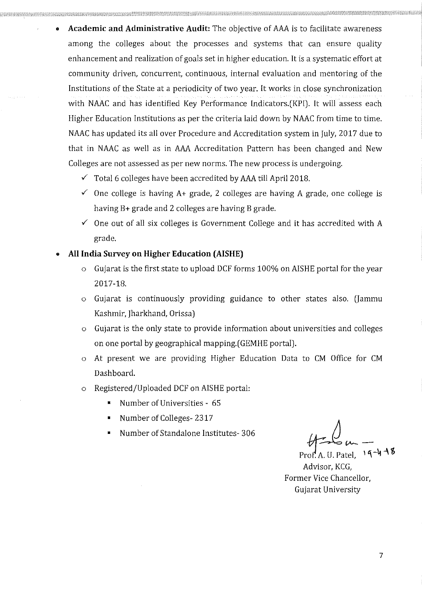- **Academic and Administrative Audit:** The objective of *AAA* is to facilitate awareness among the colleges about the processes and systems that can ensure quality enhancement and realization of goals set in higher education. It is a systematic effort at community driven, concurrent, continuous, internal evaluation and mentoring of the Institutions of the State at a periodicity of two year. It works in close synchronization with NAAC and has identified Key Performance Indicators.(KPI). It will assess each Higher Education Institutions as per the criteria laid down by NAAC from time to time. NAAC has updated its all over Procedure and Accreditation system in July, 2017 due to that in NAAC as well as in *AAA* Accreditation Pattern has been changed and New Colleges are not assessed as per new norms. The new process is undergoing.
	- ./' Total 6 colleges have been accredited by *AAA* till April 2018 .
	- $\checkmark$  One college is having A+ grade, 2 colleges are having A grade, one college is having B+ grade and 2 colleges are having B grade.
	- $\checkmark$  One out of all six colleges is Government College and it has accredited with A grade.

## All India Survey on Higher Education (AISHE)

- $\circ$  Gujarat is the first state to upload DCF forms 100% on AISHE portal for the year 2017-18.
- $\circ$  Gujarat is continuously providing guidance to other states also. (Jammu Kashmir, Jharkhand, Orissa)
- o Gujarat is the only state to provide information about universities and colleges on one portal by geographical mapping.(GEMHE portal).
- o At present we are providing Higher Education Data to CM Office for CM Dashboard.
- o Registered/Uploaded DCF on AISHE portal:
	- Number of Universities 65
	- Number of Colleges-2317
	-

Number of Standalone Institutes- 306<br> **Example 19 A 30** W -14 A 8

Pr~; A. U. Patel, 1**'\-4-\ '6**  Advisor, KCG, Former Vice Chancellor, Gujarat University